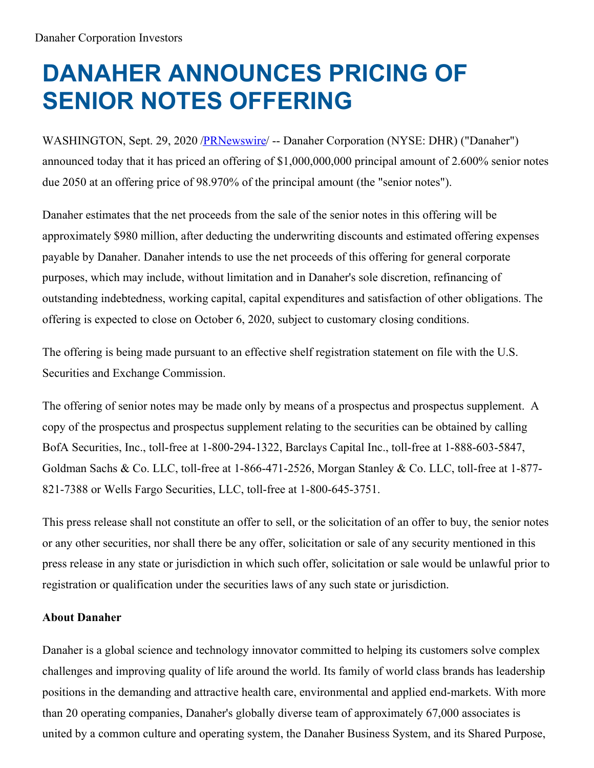# **DANAHER ANNOUNCES PRICING OF SENIOR NOTES OFFERING**

WASHINGTON, Sept. 29, 2020 [/PRNewswire](http://www.prnewswire.com/)/ -- Danaher Corporation (NYSE: DHR) ("Danaher") announced today that it has priced an offering of \$1,000,000,000 principal amount of 2.600% senior notes due 2050 at an offering price of 98.970% of the principal amount (the "senior notes").

Danaher estimates that the net proceeds from the sale of the senior notes in this offering will be approximately \$980 million, after deducting the underwriting discounts and estimated offering expenses payable by Danaher. Danaher intends to use the net proceeds of this offering for general corporate purposes, which may include, without limitation and in Danaher's sole discretion, refinancing of outstanding indebtedness, working capital, capital expenditures and satisfaction of other obligations. The offering is expected to close on October 6, 2020, subject to customary closing conditions.

The offering is being made pursuant to an effective shelf registration statement on file with the U.S. Securities and Exchange Commission.

The offering of senior notes may be made only by means of a prospectus and prospectus supplement. A copy of the prospectus and prospectus supplement relating to the securities can be obtained by calling BofA Securities, Inc., toll-free at 1-800-294-1322, Barclays Capital Inc., toll-free at 1-888-603-5847, Goldman Sachs & Co. LLC, toll-free at 1-866-471-2526, Morgan Stanley & Co. LLC, toll-free at 1-877- 821-7388 or Wells Fargo Securities, LLC, toll-free at 1-800-645-3751.

This press release shall not constitute an offer to sell, or the solicitation of an offer to buy, the senior notes or any other securities, nor shall there be any offer, solicitation or sale of any security mentioned in this press release in any state or jurisdiction in which such offer, solicitation or sale would be unlawful prior to registration or qualification under the securities laws of any such state or jurisdiction.

# **About Danaher**

Danaher is a global science and technology innovator committed to helping its customers solve complex challenges and improving quality of life around the world. Its family of world class brands has leadership positions in the demanding and attractive health care, environmental and applied end-markets. With more than 20 operating companies, Danaher's globally diverse team of approximately 67,000 associates is united by a common culture and operating system, the Danaher Business System, and its Shared Purpose,